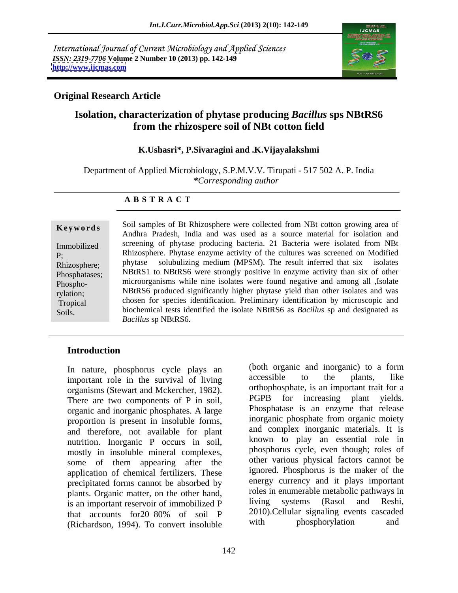International Journal of Current Microbiology and Applied Sciences *ISSN: 2319-7706* **Volume 2 Number 10 (2013) pp. 142-149 <http://www.ijcmas.com>**



## **Original Research Article**

# **Isolation, characterization of phytase producing** *Bacillus* **sps NBtRS6 from the rhizospere soil of NBt cotton field**

## **K.Ushasri\*, P.Sivaragini and .K.Vijayalakshmi**

Department of Applied Microbiology, S.P.M.V.V. Tirupati - 517 502 A. P. India *\*Corresponding author* 

### **A B S T R A C T**

Phospho-

 $p_{\text{in}}$   $\sum_{i=1}^n p_{\text{out}}$   $p_{\text{out}}$   $p_{\text{out}}$  and decorated as **Keywords** Sun samples of Britan Sunzosphere were conected from NB cotton growing area of Andhra Pradesh, India and was used as a source material for isolation and Immobilized screening of phytase producing bacteria. 21 Bacteria were isolated from NBt P; Rhizosphere. Phytase enzyme activity of the cultures was screened on Modified Rhizosphere; phytase solubulizing medium (MPSM). The result inferred that six isolates Phosphatases; NBtRS1 to NBtRS6 were strongly positive in enzyme activity than six of other rylation; NBtRS6 produced significantly higher phytase yield than other isolates and was Tropical chosen for species identification. Preliminary identification by microscopic and Soils. biochemical tests identified the isolate NBtRS6 as *Bacillus* sp and designated as Soil samples of Bt Rhizosphere were collected from NBt cotton growing area of microorganisms while nine isolates were found negative and among all ,Isolate *Bacillus* sp NBtRS6.

## **Introduction**

important role in the survival of living organisms (Stewart and Mckercher, 1982). There are two components of P in soil and PGPB for increasing plant vields. There are two components of P in soil, organic and inorganic phosphates. A large proportion is present in insoluble forms, and therefore, not available for plant nutrition. Inorganic P occurs in soil, mostly in insoluble mineral complexes, some of them appearing after the application of chemical fertilizers. These precipitated forms cannot be absorbed by plants. Organic matter, on the other hand,<br>is an important reservoir of immobilized P living systems (Rasol and Reshi, is an important reservoir of immobilized P (Richardson, 1994). To convert insoluble with phosphorylation and

In nature, phosphorus cycle plays an (both organic and inorganic) to a form<br>important role in the survival of living accessible to the plants, like that accounts for 20–80% of soil P 2010). Cellular signaling events cascaded (both organic and inorganic) to a form accessible to the plants, like orthophosphate, is an important trait for a PGPB for increasing plant yields. Phosphatase is an enzyme that release inorganic phosphate from organic moiety and complex inorganic materials. It is known to play an essential role in phosphorus cycle, even though; roles of other various physical factors cannot be ignored. Phosphorus is the maker of the energy currency and it plays important roles in enumerable metabolic pathways in living systems (Rasol and Reshi, 2010).Cellular signaling events cascaded phosphorylation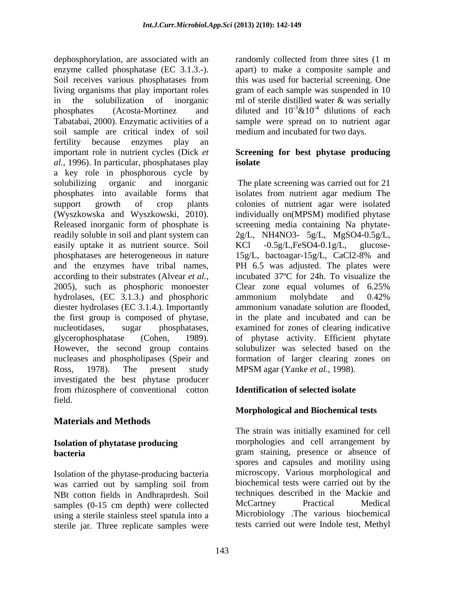dephosphorylation, are associated with an randomly collected from three sites (1 m enzyme called phosphatase (EC 3.1.3.-). apart) to make a composite sample and Soil receives various phosphatases from this was used for bacterial screening. One living organisms that play important roles gram of each sample was suspended in 10 in the solubilization of inorganic in m of sterile distilled water  $\&$  was serially phosphates (Acosta-Mortinez and diluted and  $10^{-3}$  & $10^{-4}$  dilutions of each Tabatabai, 2000). Enzymatic activities of a sample were spread on to nutrient agar soil sample are critical index of soil fertility because enzymes play an important role in nutrient cycles (Dick *et*  **Screening for best phytase producing** *al.,* 1996). In particular, phosphatases play a key role in phosphorous cycle by solubilizing organic and inorganic The plate screening was carried out for 21 phosphates into available forms that isolates from nutrient agar medium The support growth of crop plants colonies of nutrient agar were isolated (Wyszkowska and Wyszkowski, 2010). individually on(MPSM) modified phytase Released inorganic form of phosphate is screening media containing Na phytate readily soluble in soil and plant system can  $2g/L$ , NH4NO3- 5g/L, MgSO4-0.5g/L, easily uptake it as nutrient source. Soil KCl -0.5g/L,FeSO4-0.1g/L, glucosephosphatases are heterogeneous in nature 15g/L, bactoagar-15g/L, CaCl2-8% and and the enzymes have tribal names, PH 6.5 was adjusted. The plates were according to their substrates (Alvear *et al.,* incubated 37ºC for 24h. To visualize the 2005), such as phosphoric monoester hydrolases, (EC 3.1.3.) and phosphoric ammonium molybdate and 0.42% diester hydrolases (EC 3.1.4.). Importantly the first group is composed of phytase, nucleotidases, sugar phosphatases, examined for zones of clearing indicative glycerophosphatase (Cohen, 1989). of phytase activity. Efficient phytate However, the second group contains nucleases and phospholipases (Speir and formation of larger clearing zones on Ross, 1978). The present study MPSM agar (Yanke *et al.,* 1998). investigated the best phytase producer from rhizosphere of conventional cotton field.

# **Materials and Methods**

# **Isolation of phytatase producing**

Isolation of the phytase-producing bacteria NBt cotton fields in Andhraprdesh. Soil techniques described in the Mackie and samples (0-15 cm depth) were collected McCartney Practical Medical samples (0-15 cm depth) were collected using a sterile stainless steel spatula into a sterile jar. Three replicate samples were

ml of sterile distilled water & was serially dilutions of each medium and incubated for two days.

# **isolate**

 $-0.5g/L,FeSO4-0.1g/L,$ 15g/L, bactoagar-15g/L, CaCl2-8% and Clear zone equal volumes of 6.25% ammonium molybdate and 0.42% ammonium vanadate solution are flooded, in the plate and incubated and can be solubulizer was selected based on the

## **Identification of selected isolate**

# **Morphological and Biochemical tests**

**bacteria bacteria gram** staining, presence or absence of was carried out by sampling soil from biochemical tests were carried out by the The strain was initially examined for cell morphologies and cell arrangement by spores and capsules and motility using microscopy. Various morphological and biochemical tests were carried out by the techniques described in the Mackie and McCartney Practical Medical Microbiology .The various biochemical tests carried out were Indole test, Methyl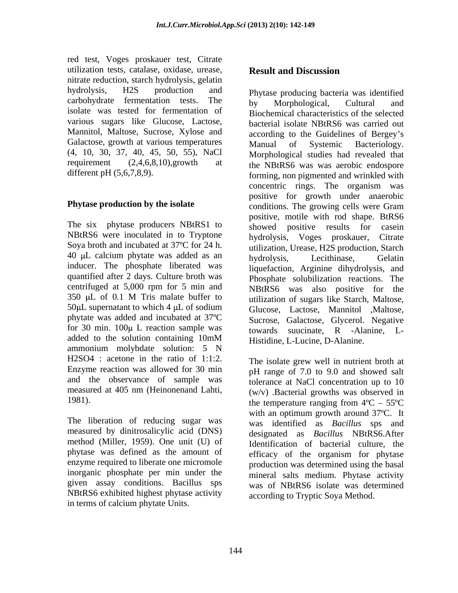red test, Voges proskauer test, Citrate utilization tests, catalase, oxidase, urease, Result and Discussion nitrate reduction, starch hydrolysis, gelatin hydrolysis, H2S production and Phytase producing bacteria was identified carbohydrate fermentation tests. The  $_{\text{by}}$  Morphological, Cultural and isolate was tested for fermentation of various sugars like Glucose, Lactose, Mannitol, Maltose, Sucrose, Xylose and Galactose, growth at various temperatures Manual of Systemic Bacteriology. (4, 10, 30, 37, 40, 45, 50, 55), NaCl

The six phytase producers NBtRS1 to NBtRS6 were inoculated in to Tryptone Soya broth and incubated at 37ºC for 24 h. 40 µL calcium phytate was added as an bydrolysis, Lecithinase, Gelatin inducer. The phosphate liberated was quantified after 2 days. Culture broth was centrifuged at 5,000 rpm for 5 min and phytate was added and incubated at 37ºC for 30 min.  $100\mu$  L reaction sample was ammonium molybdate solution: 5 N H2SO4 : acetone in the ratio of 1:1:2. and the observance of sample was measured at 405 nm (Heinonenand Lahti,

The liberation of reducing sugar was measured by dinitrosalicylic acid (DNS) method (Miller, 1959). One unit (U) of phytase was defined as the amount of enzyme required to liberate one micromole inorganic phosphate per min under the given assay conditions. Bacillus sps NBtRS6 exhibited highest phytase activity in terms of calcium phytate Units.

## **Result and Discussion**

requirement (2,4,6,8,10),growth at the NBtRS6 was was aerobic endospore different pH (5,6,7,8,9). forming, non pigmented and wrinkled with **Phytase production by the isolate** conditions. The growing cells were Gram 350  $\mu$ L of 0.1 M Tris malate buffer to  $\mu$  utilization of sugars like Starch. Maltose 50 L supernatant to which 4 L of sodium added to the solution containing 10mM Histidine L-Lucine D-Alanine by Morphological, Cultural and Biochemical characteristics of the selected bacterial isolate NBtRS6 was carried out according to the Guidelines of Bergey's Manual of Systemic Bacteriology. Morphological studies had revealed that concentric rings. The organism was positive for growth under anaerobic positive, motile with rod shape. BtRS6 showed positive results for casein hydrolysis, Voges proskauer, Citrate utilization, Urease, H2S production, Starch hydrolysis, Lecithinase, Gelatin liquefaction, Arginine dihydrolysis, and Phosphate solubilization reactions. The NBtRS6 was also positive for the utilization of sugars like Starch, Maltose, Glucose, Lactose, Mannitol ,Maltose, Sucrose, Galactose, Glycerol. Negative towards suucinate, R -Alanine, L- Histidine, L-Lucine, D-Alanine.

Enzyme reaction was allowed for 30 min pH range of 7.0 to 9.0 and showed salt 1981). the temperature ranging from  $4^{\circ}C - 55^{\circ}C$ The isolate grew well in nutrient broth at tolerance at NaCl concentration up to 10 (w/v) .Bacterial growths was observed in with an optimum growth around 37ºC. It was identified as *Bacillus* sps and designated as *Bacillus* NBtRS6.After Identification of bacterial culture, the efficacy of the organism for phytase production was determined using the basal mineral salts medium. Phytase activity was of NBtRS6 isolate was determined according to Tryptic Soya Method.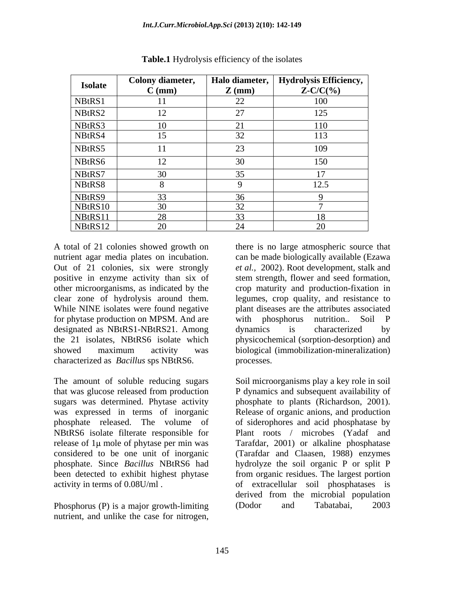| <b>Isolate</b> | Colony diameter, | Halo diameter,    | Hydrolysis Efficiency, |
|----------------|------------------|-------------------|------------------------|
|                | $C$ (mm)         | $\mathbf{Z}$ (mm) | $Z-C/C(\% )$           |
| NBtRS1         |                  | 22                | 100                    |
| NBtRS2         | $\perp$          | 27                | 125                    |
| NBtRS3         | 10               | 21                | 110                    |
| NBtRS4         | 15               | 32                | 113                    |
| NBtRS5         |                  | 23                | 109                    |
| NBtRS6         | 12               | 30                | 150                    |
| NBtRS7         | 30               | 35                | 17                     |
| NBtRS8         |                  |                   | 12.5                   |
| NBtRS9         | 33               | 36                |                        |
| NBtRS10        | 30               | 32                |                        |
| NBtRS11        | 28               | 33                | 18                     |
| NBtRS12        | 20               | 24                | 20                     |

**Table.1** Hydrolysis efficiency of the isolates

A total of 21 colonies showed growth on there is no large atmospheric source that nutrient agar media plates on incubation. can be made biologically available (Ezawa Out of 21 colonies, six were strongly positive in enzyme activity than six of stem strength, flower and seed formation, other microorganisms, as indicated by the crop maturity and production-fixation in clear zone of hydrolysis around them. legumes, crop quality, and resistance to While NINE isolates were found negative plant diseases are the attributes associated for phytase production on MPSM. And are with phosphorus nutrition.. Soil P designated as NBtRS1-NBtRS21. Among dynamics is characterized by the 21 isolates, NBtRS6 isolate which physicochemical (sorption-desorption) and showed maximum activity was biological (immobilization-mineralization) characterized as *Bacillus* sps NBtRS6.

release of  $1\mu$  mole of phytase per min was

Phosphorus (P) is a major growth-limiting (Dodor and Tabatabai, 2003 nutrient, and unlike the case for nitrogen,

*et al.,* 2002). Root development, stalk and with phosphorus nutrition.. Soil P dynamics is characterized by processes.

The amount of soluble reducing sugars Soil microorganisms play a key role in soil that was glucose released from production P dynamics and subsequent availability of sugars was determined. Phytase activity phosphate to plants (Richardson, 2001). was expressed in terms of inorganic Release of organic anions, and production phosphate released. The volume of of siderophores and acid phosphatase by NBtRS6 isolate filterate responsible for Plant roots / microbes (Yadaf and considered to be one unit of inorganic (Tarafdar and Claasen, 1988) enzymes phosphate. Since *Bacillus* NBtRS6 had hydrolyze the soil organic P or split P been detected to exhibit highest phytase from organic residues. The largest portion activity in terms of 0.08U/ml . of extracellular soil phosphatases is Tarafdar, 2001) or alkaline phosphatase derived from the microbial population (Dodor and Tabatabai, 2003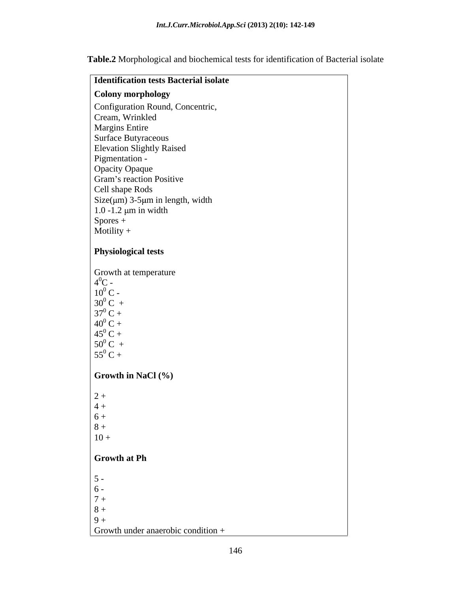**Table.2** Morphological and biochemical tests for identification of Bacterial isolate

| the contract of the contract of the contract of the contract of the contract of<br><b>Identification tests Bacterial isolate</b>             |
|----------------------------------------------------------------------------------------------------------------------------------------------|
| Colony morphology                                                                                                                            |
| Configuration Round, Concentric,                                                                                                             |
| Cream, Wrinkled                                                                                                                              |
| <b>Margins Entire</b>                                                                                                                        |
| Surface Butyraceous                                                                                                                          |
| <b>Elevation Slightly Raised</b>                                                                                                             |
| Pigmentation -                                                                                                                               |
| Opacity Opaque<br>Gram's reaction Positive                                                                                                   |
|                                                                                                                                              |
| Cell shape Rods                                                                                                                              |
| Size( $\mu$ m) 3-5 $\mu$ m in length, width                                                                                                  |
| $1.0 - 1.2 \mu m$ in width                                                                                                                   |
| $\begin{array}{c}\n\text{Spores } +\\ \text{Motility } +\end{array}$                                                                         |
|                                                                                                                                              |
| <b>Physiological tests</b>                                                                                                                   |
|                                                                                                                                              |
| Growth at temperature<br>$4^{0}C -$<br>$10^{0}C -$<br>$30^{0}C +$<br>$37^{0}C +$<br>$40^{0}C +$<br>$45^{0}C +$<br>$50^{0}C +$<br>$55^{0}C +$ |
|                                                                                                                                              |
|                                                                                                                                              |
|                                                                                                                                              |
|                                                                                                                                              |
|                                                                                                                                              |
|                                                                                                                                              |
|                                                                                                                                              |
|                                                                                                                                              |
|                                                                                                                                              |
| <b>Growth in NaCl</b> $(\%)$                                                                                                                 |
|                                                                                                                                              |
| $2+$                                                                                                                                         |
|                                                                                                                                              |
| $\begin{array}{ c } 4+6+6+8+1 \end{array}$                                                                                                   |
| $10 +$                                                                                                                                       |
|                                                                                                                                              |
| Growth at Ph                                                                                                                                 |
|                                                                                                                                              |
| $5 -$                                                                                                                                        |
| $\begin{bmatrix} 6 \\ 7 + \\ 8 + \\ 9 + \end{bmatrix}$                                                                                       |
|                                                                                                                                              |
|                                                                                                                                              |
|                                                                                                                                              |
| Growth under anaerobic condition $+$                                                                                                         |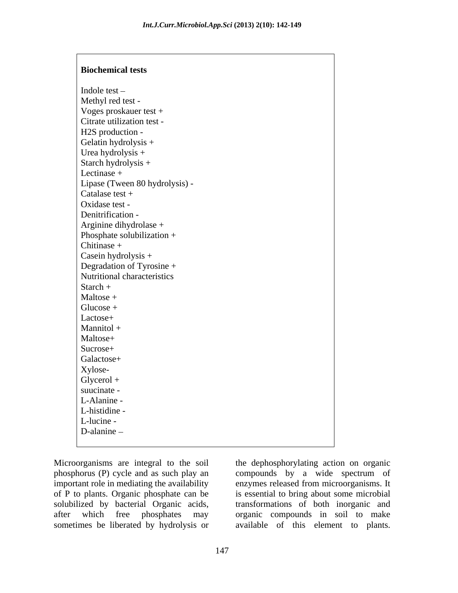### **Biochemical tests**

Indole test – Methyl red test - Voges proskauer test + Citrate utilization test - H2S production - Gelatin hydrolysis + Urea hydrolysis + Starch hydrolysis + Lectinase + Lipase (Tween 80 hydrolysis) - Catalase test + Oxidase test - Denitrification - The set of the set of the set of the set of the set of the set of the set of the set of the set of the set of the set of the set of the set of the set of the set of the set of the set of the set of the se Arginine dihydrolase + and the set of the set of the set of the set of the set of the set of the set of the set of the set of the set of the set of the set of the set of the set of the set of the set of the set of the set Phosphate solubilization + Chitinase + Casein hydrolysis + Degradation of Tyrosine + Nutritional characteristics Starch + Maltose + Glucose + Lactose+ Mannitol + Maltose+ Sucrose+ Galactose+ Xylose- Glycerol + the contract of the contract of the contract of the contract of the contract of the contract of the contract of the contract of the contract of the contract of the contract of the contract of the contract of the suucinate - The contract of the contract of the contract of the contract of the contract of the contract of the contract of the contract of the contract of the contract of the contract of the contract of the contract of th L-Alanine - L-histidine - L-lucine - The contract of the contract of the contract of the contract of the contract of the contract of the contract of the contract of the contract of the contract of the contract of the contract of the contract of the D-alanine – Social Contract of the set of the set of the set of the set of the set of the set of the set of the set of the set of the set of the set of the set of the set of the set of the set of the set of the set of the

Microorganisms are integral to the soil the dephosphorylating action on organic phosphorus (P) cycle and as such play an compounds by a wide spectrum of important role in mediating the availability of P to plants. Organic phosphate can be is essential to bring about some microbial solubilized by bacterial Organic acids, after which free phosphates may organic compounds in soil to make sometimes be liberated by hydrolysis or

enzymes released from microorganisms. It transformations of both inorganic and available of this element to plants.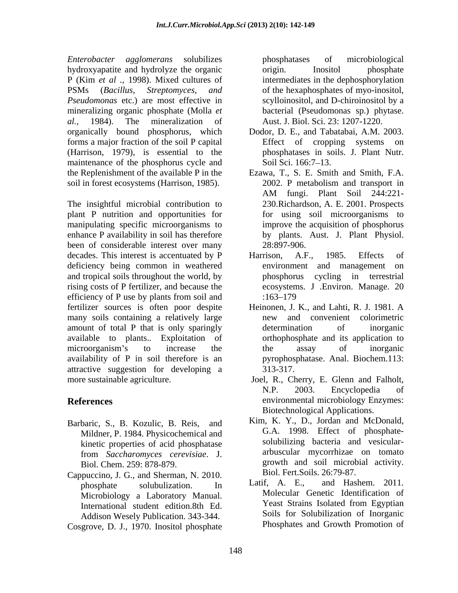*Enterobacter agglomerans* solubilizes hydroxyapatite and hydrolyze the organic P (Kim *et al .*, 1998). Mixed cultures of PSMs (*Bacillus, Streptomyces, and* of the hexaphosphates of myo-inositol, *Pseudomonas* etc.) are most effective in mineralizing organic phosphate (Molla *et al.,* 1984). The mineralization of Aust. J. Biol. Sci. 23: 1207-1220. organically bound phosphorus, which forms a major fraction of the soil P capital (Harrison, 1979), is essential to the maintenance of the phosphorus cycle and Soil Sci. 166:7–13. the Replenishment of the available P in the Ezawa, T., S. E. Smith and Smith, F.A. soil in forest ecosystems (Harrison, 1985). 2002. P metabolism and transport in

The insightful microbial contribution to plant P nutrition and opportunities for manipulating specific microorganisms to enhance P availability in soil has therefore been of considerable interest over many 28:897-906. decades. This interest is accentuated by P Harrison, A.F., 1985. Effects of deficiency being common in weathered environment and management on and tropical soils throughout the world, by rising costs of P fertilizer, and because the efficiency of P use by plants from soil and  $:163-179$ fertilizer sources is often poor despite many soils containing a relatively large a new and convenient colorimetric amount of total P that is only sparingly determination of inorganic available to plants.. Exploitation of microorganism's to increase the the assay of inorganic availability of P in soil therefore is an attractive suggestion for developing a

- Mildner, P. 1984. Physicochemical and kinetic properties of acid phosphatase from *Saccharomyces cerevisiae*. J.
- Cappuccino, J. G., and Sherman, N. 2010. Block Fert Soils. 26:79-87.<br>
phosphate solubulization In Latif. A. E., and Hashem. 2011. International student edition.8th Ed. Addison Wesely Publication. 343-344.
- Cosgrove, D. J., 1970. Inositol phosphate

phosphatases of microbiological origin. Inositol phosphate intermediates in the dephosphorylation scylloinositol, and D-chiroinositol by a bacterial (Pseudomonas sp.) phytase.

- Dodor, D. E., and Tabatabai, A.M. 2003. Effect of cropping systems on phosphatases in soils. J. Plant Nutr. Soil Sci. 166:7–13.
- Ezawa, T., S. E. Smith and Smith, F.A. 2002. <sup>P</sup> metabolism and transport in AM fungi. Plant Soil 244:221- 230.Richardson, A. E. 2001. Prospects for using soil microorganisms to improve the acquisition of phosphorus by plants. Aust. J. Plant Physiol. 28:897-906.
- Harrison, A.F., 1985. Effects of environment and management phosphorus cycling in terrestrial ecosystems. J .Environ. Manage. 20 :163–179
- Heinonen, J. K., and Lahti, R. J. 1981. A new and convenient colorimetric determination of inorganic orthophosphate and its application to the assay of inorganic pyrophosphatase. Anal. Biochem.113: 313-317.
- more sustainable agriculture. Joel, R., Cherry, E. Glenn and Falholt, **References** environmental microbiology Enzymes: N.P. 2003. Encyclopedia of Biotechnological Applications.
- Barbaric, S., B. Kozulic, B. Reis, and Kim, K. Y., D., Jordan and McDonald,<br>Mildner P 1984 Physicochemical and G.A. 1998. Effect of phosphate-Biol. Chem. 259: 878-879. growth and soil microbial activity.<br>
Biol. Fert.Soils. 26:79-87. Kim, K. Y., D., Jordan and McDonald, G.A. 1998. Effect of phosphate solubilizing bacteria and vesicular arbuscular mycorrhizae on tomato growth and soil microbial activity. Biol. Fert.Soils. 26:79-87.
	- phosphate solubulization. In Latif, A. E., and Hashem. 2011. Microbiology a Laboratory Manual. Molecular Genetic Identification of<br>International student edition 8th Ed and Yeast Strains Isolated from Egyptian Latif, A. E., and Hashem. 2011. Molecular Genetic Identification of Yeast Strains Isolated from Egyptian Soils for Solubilization of Inorganic Phosphates and Growth Promotion of